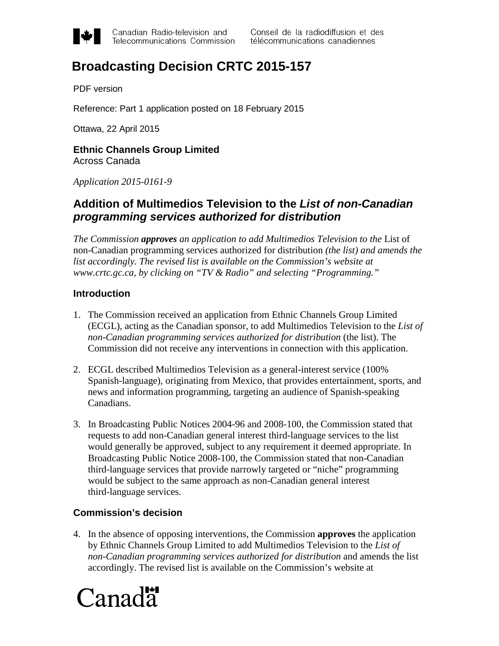

Canadian Radio-television and Telecommunications Commission

## **Broadcasting Decision CRTC 2015-157**

PDF version

Reference: Part 1 application posted on 18 February 2015

Ottawa, 22 April 2015

**Ethnic Channels Group Limited** Across Canada

*Application 2015-0161-9*

### **Addition of Multimedios Television to the** *List of non-Canadian programming services authorized for distribution*

*The Commission approves an application to add Multimedios Television to the* List of non-Canadian programming services authorized for distribution *(the list) and amends the list accordingly. The revised list is available on the Commission's website at www.crtc.gc.ca, by clicking on "TV & Radio" and selecting "Programming."*

#### **Introduction**

- 1. The Commission received an application from Ethnic Channels Group Limited (ECGL), acting as the Canadian sponsor, to add Multimedios Television to the *List of non-Canadian programming services authorized for distribution* (the list). The Commission did not receive any interventions in connection with this application.
- 2. ECGL described Multimedios Television as a general-interest service (100% Spanish-language), originating from Mexico, that provides entertainment, sports, and news and information programming, targeting an audience of Spanish-speaking Canadians.
- 3. In Broadcasting Public Notices 2004-96 and 2008-100, the Commission stated that requests to add non-Canadian general interest third-language services to the list would generally be approved, subject to any requirement it deemed appropriate. In Broadcasting Public Notice 2008-100, the Commission stated that non-Canadian third-language services that provide narrowly targeted or "niche" programming would be subject to the same approach as non-Canadian general interest third-language services.

#### **Commission's decision**

4. In the absence of opposing interventions, the Commission **approves** the application by Ethnic Channels Group Limited to add Multimedios Television to the *List of non-Canadian programming services authorized for distribution* and amends the list accordingly. The revised list is available on the Commission's website at

# Canadä<sup>r</sup>